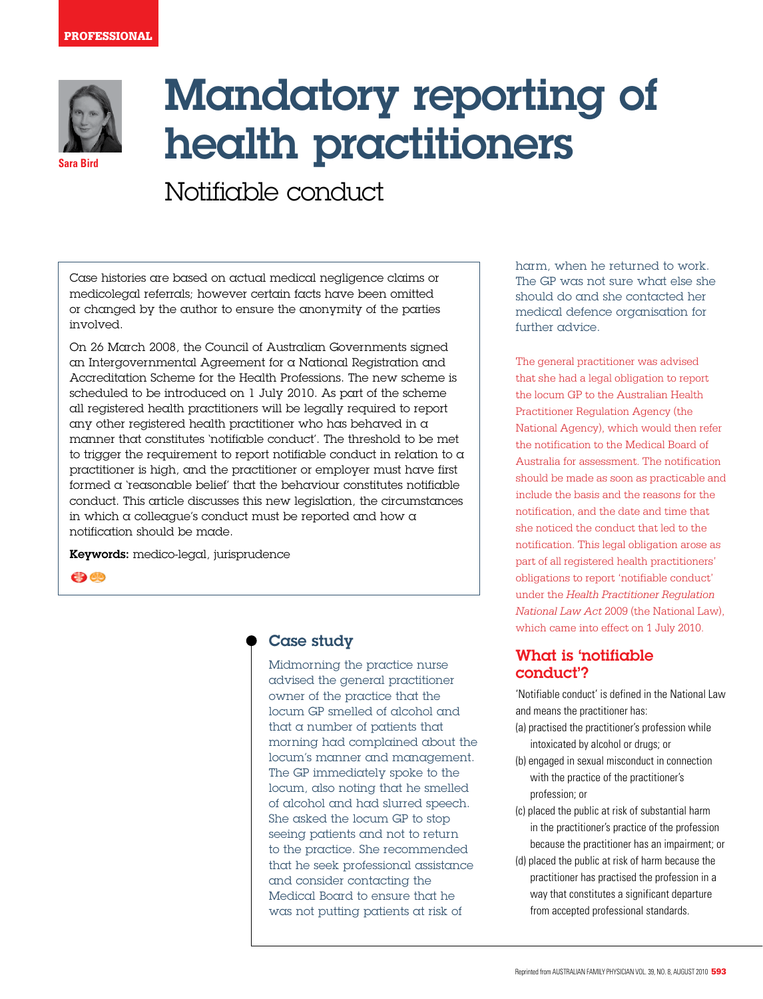

**Sara Bird**

Mandatory reporting of health practitioners

Notifiable conduct

Case histories are based on actual medical negligence claims or medicolegal referrals; however certain facts have been omitted or changed by the author to ensure the anonymity of the parties involved.

On 26 March 2008, the Council of Australian Governments signed an Intergovernmental Agreement for a National Registration and Accreditation Scheme for the Health Professions. The new scheme is scheduled to be introduced on 1 July 2010. As part of the scheme all registered health practitioners will be legally required to report any other registered health practitioner who has behaved in a manner that constitutes 'notifiable conduct'. The threshold to be met to trigger the requirement to report notifiable conduct in relation to  $\alpha$ practitioner is high, and the practitioner or employer must have first formed a 'reasonable belief' that the behaviour constitutes notifiable conduct. This article discusses this new legislation, the circumstances in which a colleague's conduct must be reported and how a notification should be made.

Keywords: medico-legal, jurisprudence

 $\bigoplus$ 

# Case study

Midmorning the practice nurse advised the general practitioner owner of the practice that the locum GP smelled of alcohol and that a number of patients that morning had complained about the locum's manner and management. The GP immediately spoke to the locum, also noting that he smelled of alcohol and had slurred speech. She asked the locum GP to stop seeing patients and not to return to the practice. She recommended that he seek professional assistance and consider contacting the Medical Board to ensure that he was not putting patients at risk of

harm, when he returned to work. The GP was not sure what else she should do and she contacted her medical defence organisation for further advice.

The general practitioner was advised that she had a legal obligation to report the locum GP to the Australian Health Practitioner Regulation Agency (the National Agency), which would then refer the notification to the Medical Board of Australia for assessment. The notification should be made as soon as practicable and include the basis and the reasons for the notification, and the date and time that she noticed the conduct that led to the notification. This legal obligation arose as part of all registered health practitioners' obligations to report 'notifiable conduct' under the *Health Practitioner Regulation National Law Act* 2009 (the National Law), which came into effect on 1 July 2010.

# What is 'notifiable conduct'?

'Notifiable conduct' is defined in the National Law and means the practitioner has:

- (a) practised the practitioner's profession while intoxicated by alcohol or drugs; or
- (b) engaged in sexual misconduct in connection with the practice of the practitioner's profession; or
- (c) placed the public at risk of substantial harm in the practitioner's practice of the profession because the practitioner has an impairment; or
- (d) placed the public at risk of harm because the practitioner has practised the profession in a way that constitutes a significant departure from accepted professional standards.